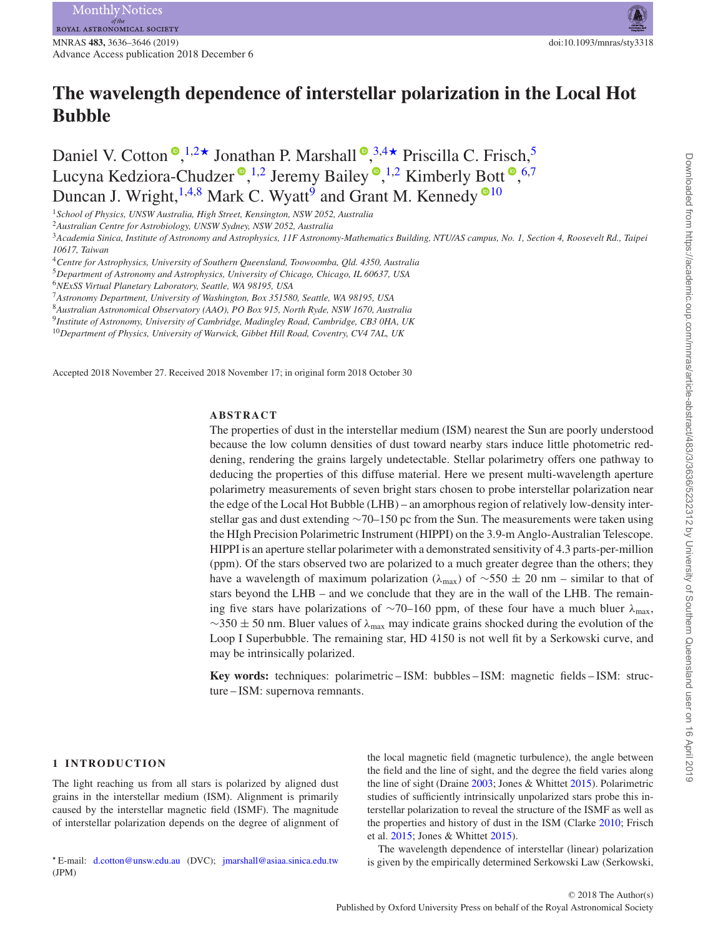MNRAS **483,** 3636–3646 (2019) doi:10.1093/mnras/sty3318 Advance Access publication 2018 December 6

# **The wavelength dependence of interstellar polarization in the Local Hot Bubble**

Daniel V. Cotton <sup>®</sup>[,](http://orcid.org/0000-0001-6208-1801)<sup>[1,](#page-0-0)[2](#page-0-1)★</sup> Jonathan P. Marshall <sup>®</sup>,<sup>[3,](#page-0-3)[4](#page-0-4)★</sup> Priscilla C. Frisch,<sup>5</sup> Lucyna Kedziora-Chudzer<sup>®</sup>[,](http://orcid.org/0000-0002-4420-0560)<sup>[1](#page-0-0)[,2](#page-0-1)</sup> Jeremy Bailey®,<sup>1,2</sup> Kimberly Bott®,<sup>[6](#page-0-6)[,7](#page-0-7)</sup> Duncan J. Wright,  $1,4,8$  $1,4,8$  $1,4,8$  Mark C. Wyatt<sup>[9](#page-0-9)</sup> and Grant M. Kennedy <sup>0[10](#page-0-10)</sup>

<span id="page-0-0"></span><sup>1</sup>*School of Physics, UNSW Australia, High Street, Kensington, NSW 2052, Australia*

<span id="page-0-3"></span><sup>3</sup>*Academia Sinica, Institute of Astronomy and Astrophysics, 11F Astronomy-Mathematics Building, NTU/AS campus, No. 1, Section 4, Roosevelt Rd., Taipei 10617, Taiwan*

<span id="page-0-4"></span><sup>4</sup>*Centre for Astrophysics, University of Southern Queensland, Toowoomba, Qld. 4350, Australia*

<span id="page-0-5"></span><sup>5</sup>*Department of Astronomy and Astrophysics, University of Chicago, Chicago, IL 60637, USA*

<span id="page-0-6"></span><sup>6</sup>*NExSS Virtual Planetary Laboratory, Seattle, WA 98195, USA*

<span id="page-0-7"></span><sup>7</sup>*Astronomy Department, University of Washington, Box 351580, Seattle, WA 98195, USA*

<span id="page-0-8"></span><sup>8</sup>*Australian Astronomical Observatory (AAO), PO Box 915, North Ryde, NSW 1670, Australia*

<span id="page-0-9"></span><sup>9</sup>*Institute of Astronomy, University of Cambridge, Madingley Road, Cambridge, CB3 0HA, UK*

<span id="page-0-10"></span><sup>10</sup>*Department of Physics, University of Warwick, Gibbet Hill Road, Coventry, CV4 7AL, UK*

Accepted 2018 November 27. Received 2018 November 17; in original form 2018 October 30

# **ABSTRACT**

The properties of dust in the interstellar medium (ISM) nearest the Sun are poorly understood because the low column densities of dust toward nearby stars induce little photometric reddening, rendering the grains largely undetectable. Stellar polarimetry offers one pathway to deducing the properties of this diffuse material. Here we present multi-wavelength aperture polarimetry measurements of seven bright stars chosen to probe interstellar polarization near the edge of the Local Hot Bubble (LHB) – an amorphous region of relatively low-density interstellar gas and dust extending ∼70–150 pc from the Sun. The measurements were taken using the HIgh Precision Polarimetric Instrument (HIPPI) on the 3.9-m Anglo-Australian Telescope. HIPPI is an aperture stellar polarimeter with a demonstrated sensitivity of 4.3 parts-per-million (ppm). Of the stars observed two are polarized to a much greater degree than the others; they have a wavelength of maximum polarization (*λ*max) of ∼550 ± 20 nm – similar to that of stars beyond the LHB – and we conclude that they are in the wall of the LHB. The remaining five stars have polarizations of ∼70–160 ppm, of these four have a much bluer *λ*max, ∼350 ± 50 nm. Bluer values of *λ*max may indicate grains shocked during the evolution of the Loop I Superbubble. The remaining star, HD 4150 is not well fit by a Serkowski curve, and may be intrinsically polarized.

**Key words:** techniques: polarimetric – ISM: bubbles – ISM: magnetic fields – ISM: structure – ISM: supernova remnants.

#### **1 INTRODUCTION**

The light reaching us from all stars is polarized by aligned dust grains in the interstellar medium (ISM). Alignment is primarily caused by the interstellar magnetic field (ISMF). The magnitude of interstellar polarization depends on the degree of alignment of

<span id="page-0-2"></span> E-mail: [d.cotton@unsw.edu.au](mailto:d.cotton@unsw.edu.au) (DVC); [jmarshall@asiaa.sinica.edu.tw](mailto:jmarshall@asiaa.sinica.edu.tw) (JPM)

the local magnetic field (magnetic turbulence), the angle between the field and the line of sight, and the degree the field varies along the line of sight (Draine [2003;](#page-10-0) Jones & Whittet [2015\)](#page-10-1). Polarimetric studies of sufficiently intrinsically unpolarized stars probe this interstellar polarization to reveal the structure of the ISMF as well as the properties and history of dust in the ISM (Clarke [2010;](#page-9-0) Frisch et al. [2015;](#page-10-2) Jones & Whittet [2015\)](#page-10-1).

The wavelength dependence of interstellar (linear) polarization is given by the empirically determined Serkowski Law (Serkowski,

<span id="page-0-1"></span><sup>2</sup>*Australian Centre for Astrobiology, UNSW Sydney, NSW 2052, Australia*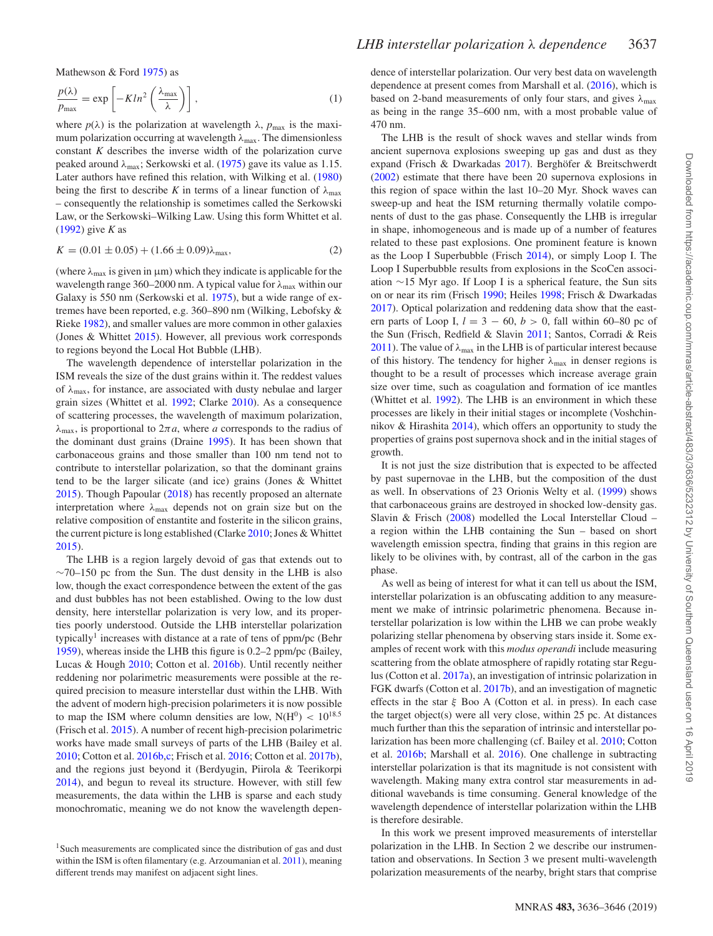Mathewson & Ford [1975\)](#page-10-3) as

$$
\frac{p(\lambda)}{p_{\text{max}}} = \exp\left[-Kln^2\left(\frac{\lambda_{\text{max}}}{\lambda}\right)\right],\tag{1}
$$

where  $p(\lambda)$  is the polarization at wavelength  $\lambda$ ,  $p_{\text{max}}$  is the maximum polarization occurring at wavelength λ<sub>max</sub>. The dimensionless constant *K* describes the inverse width of the polarization curve peaked around *λ*max; Serkowski et al. [\(1975\)](#page-10-3) gave its value as 1.15. Later authors have refined this relation, with Wilking et al. [\(1980\)](#page-10-4) being the first to describe *K* in terms of a linear function of  $\lambda_{\text{max}}$ – consequently the relationship is sometimes called the Serkowski Law, or the Serkowski–Wilking Law. Using this form Whittet et al. [\(1992\)](#page-10-5) give *K* as

$$
K = (0.01 \pm 0.05) + (1.66 \pm 0.09)\lambda_{\text{max}},\tag{2}
$$

(where  $\lambda_{\text{max}}$  is given in  $\mu$ m) which they indicate is applicable for the wavelength range 360–2000 nm. A typical value for *λ*max within our Galaxy is 550 nm (Serkowski et al. [1975\)](#page-10-3), but a wide range of extremes have been reported, e.g. 360–890 nm (Wilking, Lebofsky & Rieke [1982\)](#page-10-6), and smaller values are more common in other galaxies (Jones & Whittet [2015\)](#page-10-1). However, all previous work corresponds to regions beyond the Local Hot Bubble (LHB).

The wavelength dependence of interstellar polarization in the ISM reveals the size of the dust grains within it. The reddest values of *λ*max, for instance, are associated with dusty nebulae and larger grain sizes (Whittet et al. [1992;](#page-10-5) Clarke [2010\)](#page-9-0). As a consequence of scattering processes, the wavelength of maximum polarization,  $λ_{\text{max}}$ , is proportional to  $2πa$ , where *a* corresponds to the radius of the dominant dust grains (Draine [1995\)](#page-10-7). It has been shown that carbonaceous grains and those smaller than 100 nm tend not to contribute to interstellar polarization, so that the dominant grains tend to be the larger silicate (and ice) grains (Jones & Whittet [2015\)](#page-10-1). Though Papoular [\(2018\)](#page-10-8) has recently proposed an alternate interpretation where  $\lambda_{\text{max}}$  depends not on grain size but on the relative composition of enstantite and fosterite in the silicon grains, the current picture is long established (Clarke [2010;](#page-9-0) Jones & Whittet [2015\)](#page-10-1).

The LHB is a region largely devoid of gas that extends out to  $\sim$ 70–150 pc from the Sun. The dust density in the LHB is also low, though the exact correspondence between the extent of the gas and dust bubbles has not been established. Owing to the low dust density, here interstellar polarization is very low, and its properties poorly understood. Outside the LHB interstellar polarization typically<sup>1</sup> increases with distance at a rate of tens of  $ppm/pc$  (Behr [1959\)](#page-9-1), whereas inside the LHB this figure is 0.2–2 ppm/pc (Bailey, Lucas & Hough [2010;](#page-9-2) Cotton et al. [2016b\)](#page-9-3). Until recently neither reddening nor polarimetric measurements were possible at the required precision to measure interstellar dust within the LHB. With the advent of modern high-precision polarimeters it is now possible to map the ISM where column densities are low,  $N(H^0)$  <  $10^{18.5}$ (Frisch et al. [2015\)](#page-10-2). A number of recent high-precision polarimetric works have made small surveys of parts of the LHB (Bailey et al. [2010;](#page-9-2) Cotton et al. [2016b,](#page-9-3)[c;](#page-10-9) Frisch et al. [2016;](#page-10-10) Cotton et al. [2017b\)](#page-10-11), and the regions just beyond it (Berdyugin, Piirola & Teerikorpi [2014\)](#page-9-4), and begun to reveal its structure. However, with still few measurements, the data within the LHB is sparse and each study monochromatic, meaning we do not know the wavelength dependence of interstellar polarization. Our very best data on wavelength dependence at present comes from Marshall et al. [\(2016\)](#page-10-12), which is based on 2-band measurements of only four stars, and gives  $\lambda_{\text{max}}$ as being in the range 35–600 nm, with a most probable value of 470 nm.

The LHB is the result of shock waves and stellar winds from ancient supernova explosions sweeping up gas and dust as they expand (Frisch & Dwarkadas [2017\)](#page-10-13). Berghöfer & Breitschwerdt [\(2002\)](#page-9-6) estimate that there have been 20 supernova explosions in this region of space within the last 10–20 Myr. Shock waves can sweep-up and heat the ISM returning thermally volatile components of dust to the gas phase. Consequently the LHB is irregular in shape, inhomogeneous and is made up of a number of features related to these past explosions. One prominent feature is known as the Loop I Superbubble (Frisch [2014\)](#page-10-14), or simply Loop I. The Loop I Superbubble results from explosions in the ScoCen association ∼15 Myr ago. If Loop I is a spherical feature, the Sun sits on or near its rim (Frisch [1990;](#page-10-15) Heiles [1998;](#page-10-16) Frisch & Dwarkadas [2017\)](#page-10-13). Optical polarization and reddening data show that the eastern parts of Loop I,  $l = 3 - 60$ ,  $b > 0$ , fall within 60–80 pc of the Sun (Frisch, Redfield & Slavin [2011;](#page-10-17) Santos, Corradi & Reis [2011\)](#page-10-18). The value of  $\lambda_{\text{max}}$  in the LHB is of particular interest because of this history. The tendency for higher  $\lambda_{\text{max}}$  in denser regions is thought to be a result of processes which increase average grain size over time, such as coagulation and formation of ice mantles (Whittet et al. [1992\)](#page-10-5). The LHB is an environment in which these processes are likely in their initial stages or incomplete (Voshchinnikov & Hirashita [2014\)](#page-10-19), which offers an opportunity to study the properties of grains post supernova shock and in the initial stages of growth.

It is not just the size distribution that is expected to be affected by past supernovae in the LHB, but the composition of the dust as well. In observations of 23 Orionis Welty et al. [\(1999\)](#page-10-20) shows that carbonaceous grains are destroyed in shocked low-density gas. Slavin & Frisch [\(2008\)](#page-10-21) modelled the Local Interstellar Cloud – a region within the LHB containing the Sun – based on short wavelength emission spectra, finding that grains in this region are likely to be olivines with, by contrast, all of the carbon in the gas phase.

As well as being of interest for what it can tell us about the ISM, interstellar polarization is an obfuscating addition to any measurement we make of intrinsic polarimetric phenomena. Because interstellar polarization is low within the LHB we can probe weakly polarizing stellar phenomena by observing stars inside it. Some examples of recent work with this *modus operandi* include measuring scattering from the oblate atmosphere of rapidly rotating star Regulus (Cotton et al. [2017a\)](#page-10-22), an investigation of intrinsic polarization in FGK dwarfs (Cotton et al. [2017b\)](#page-10-11), and an investigation of magnetic effects in the star *ξ* Boo A (Cotton et al. [i](#page-9-7)n press). In each case the target object(s) were all very close, within 25 pc. At distances much further than this the separation of intrinsic and interstellar polarization has been more challenging (cf. Bailey et al. [2010;](#page-9-2) Cotton et al. [2016b;](#page-9-3) Marshall et al. [2016\)](#page-10-12). One challenge in subtracting interstellar polarization is that its magnitude is not consistent with wavelength. Making many extra control star measurements in additional wavebands is time consuming. General knowledge of the wavelength dependence of interstellar polarization within the LHB is therefore desirable.

In this work we present improved measurements of interstellar polarization in the LHB. In Section 2 we describe our instrumentation and observations. In Section 3 we present multi-wavelength polarization measurements of the nearby, bright stars that comprise

<sup>&</sup>lt;sup>1</sup>Such measurements are complicated since the distribution of gas and dust within the ISM is often filamentary (e.g. Arzoumanian et al. [2011\)](#page-9-5), meaning different trends may manifest on adjacent sight lines.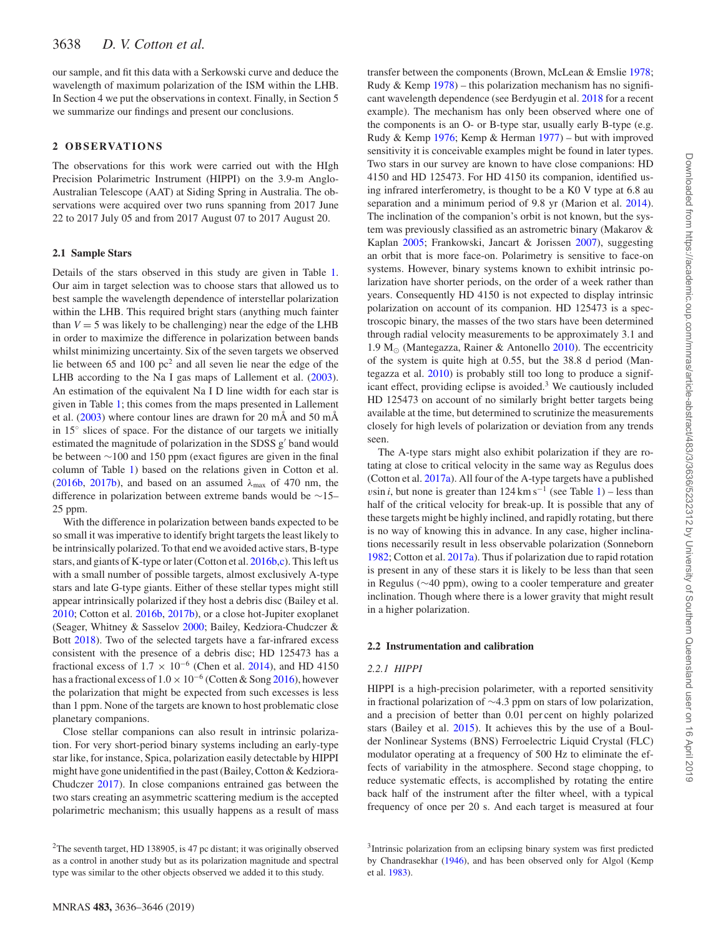our sample, and fit this data with a Serkowski curve and deduce the wavelength of maximum polarization of the ISM within the LHB. In Section 4 we put the observations in context. Finally, in Section 5 we summarize our findings and present our conclusions.

# **2 OB SE RVAT IO N S**

The observations for this work were carried out with the HIgh Precision Polarimetric Instrument (HIPPI) on the 3.9-m Anglo-Australian Telescope (AAT) at Siding Spring in Australia. The observations were acquired over two runs spanning from 2017 June 22 to 2017 July 05 and from 2017 August 07 to 2017 August 20.

## **2.1 Sample Stars**

Details of the stars observed in this study are given in Table [1.](#page-3-0) Our aim in target selection was to choose stars that allowed us to best sample the wavelength dependence of interstellar polarization within the LHB. This required bright stars (anything much fainter than  $V = 5$  was likely to be challenging) near the edge of the LHB in order to maximize the difference in polarization between bands whilst minimizing uncertainty. Six of the seven targets we observed lie between 65 and 100  $pc<sup>2</sup>$  and all seven lie near the edge of the LHB according to the Na I gas maps of Lallement et al. [\(2003\)](#page-10-23). An estimation of the equivalent Na I D line width for each star is given in Table [1;](#page-3-0) this comes from the maps presented in Lallement et al. [\(2003\)](#page-10-23) where contour lines are drawn for 20 mÅ and 50 mÅ in 15◦ slices of space. For the distance of our targets we initially estimated the magnitude of polarization in the SDSS g' band would be between ∼100 and 150 ppm (exact figures are given in the final column of Table [1\)](#page-3-0) based on the relations given in Cotton et al. [\(2016b,](#page-9-3) [2017b\)](#page-10-11), and based on an assumed  $\lambda_{\text{max}}$  of 470 nm, the difference in polarization between extreme bands would be ∼15– 25 ppm.

With the difference in polarization between bands expected to be so small it was imperative to identify bright targets the least likely to be intrinsically polarized. To that end we avoided active stars, B-type stars, and giants of K-type or later (Cotton et al. [2016b](#page-9-3)[,c\)](#page-10-9). This left us with a small number of possible targets, almost exclusively A-type stars and late G-type giants. Either of these stellar types might still appear intrinsically polarized if they host a debris disc (Bailey et al. [2010;](#page-9-2) Cotton et al. [2016b,](#page-9-3) [2017b\)](#page-10-11), or a close hot-Jupiter exoplanet (Seager, Whitney & Sasselov [2000;](#page-10-24) Bailey, Kedziora-Chudczer & Bott [2018\)](#page-9-8). Two of the selected targets have a far-infrared excess consistent with the presence of a debris disc; HD 125473 has a fractional excess of  $1.7 \times 10^{-6}$  (Chen et al. [2014\)](#page-9-9), and HD 4150 has a fractional excess of  $1.0 \times 10^{-6}$  (Cotten & Song [2016\)](#page-9-10), however the polarization that might be expected from such excesses is less than 1 ppm. None of the targets are known to host problematic close planetary companions.

Close stellar companions can also result in intrinsic polarization. For very short-period binary systems including an early-type star like, for instance, Spica, polarization easily detectable by HIPPI might have gone unidentified in the past (Bailey, Cotton & Kedziora-Chudczer [2017\)](#page-9-11). In close companions entrained gas between the two stars creating an asymmetric scattering medium is the accepted polarimetric mechanism; this usually happens as a result of mass

The A-type stars might also exhibit polarization if they are rotating at close to critical velocity in the same way as Regulus does (Cotton et al. [2017a\)](#page-10-22). All four of the A-type targets have a published *vsin <i>i*, but none is greater than  $124 \text{ km s}^{-1}$  (see Table [1\)](#page-3-0) – less than half of the critical velocity for break-up. It is possible that any of these targets might be highly inclined, and rapidly rotating, but there is no way of knowing this in advance. In any case, higher inclinations necessarily result in less observable polarization (Sonneborn [1982;](#page-10-32) Cotton et al. [2017a\)](#page-10-22). Thus if polarization due to rapid rotation is present in any of these stars it is likely to be less than that seen in Regulus (∼40 ppm), owing to a cooler temperature and greater inclination. Though where there is a lower gravity that might result in a higher polarization.

## **2.2 Instrumentation and calibration**

## *2.2.1 HIPPI*

HIPPI is a high-precision polarimeter, with a reported sensitivity in fractional polarization of ∼4.3 ppm on stars of low polarization, and a precision of better than 0.01 per cent on highly polarized stars (Bailey et al. [2015\)](#page-9-14). It achieves this by the use of a Boulder Nonlinear Systems (BNS) Ferroelectric Liquid Crystal (FLC) modulator operating at a frequency of 500 Hz to eliminate the effects of variability in the atmosphere. Second stage chopping, to reduce systematic effects, is accomplished by rotating the entire back half of the instrument after the filter wheel, with a typical frequency of once per 20 s. And each target is measured at four

<sup>2</sup>The seventh target, HD 138905, is 47 pc distant; it was originally observed as a control in another study but as its polarization magnitude and spectral type was similar to the other objects observed we added it to this study.

<sup>3</sup>Intrinsic polarization from an eclipsing binary system was first predicted by Chandrasekhar [\(1946\)](#page-9-15), and has been observed only for Algol (Kemp et al. [1983\)](#page-10-33).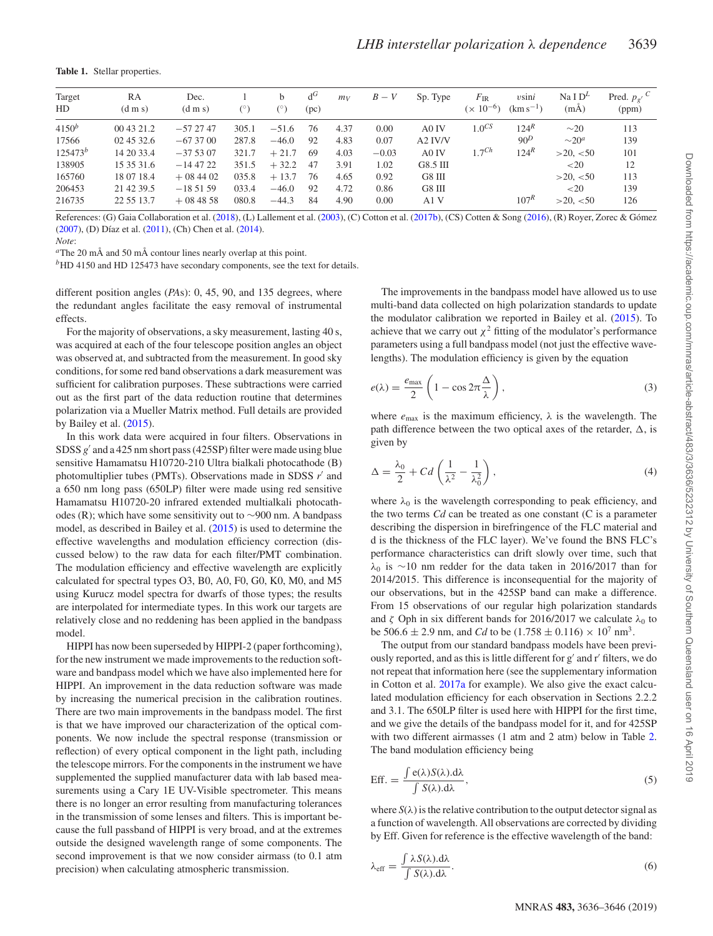<span id="page-3-0"></span>**Table 1.** Stellar properties.

| Target       | RA              | Dec.                |            | b          | $d^G$ | mv   | $B-V$   | Sp. Type | $F_{\rm IR}$  | $v\sin i$        | Na I $D^L$  | Pred. $p_{g'}^C$ |
|--------------|-----------------|---------------------|------------|------------|-------|------|---------|----------|---------------|------------------|-------------|------------------|
| HD           | $(d \, m \, s)$ | $(d \, \text{m s})$ | $(^\circ)$ | $(^\circ)$ | (pc)  |      |         |          | $(x 10^{-6})$ | $(km s^{-1})$    | $(m\AA)$    | (ppm)            |
| $4150^b$     | 00 43 21.2      | $-572747$           | 305.1      | $-51.6$    | 76    | 4.37 | 0.00    | A0 IV    | $1.0^{CS}$    | 124 <sup>R</sup> | $\sim 20$   | 113              |
| 17566        | 02 45 32.6      | $-673700$           | 287.8      | $-46.0$    | 92    | 4.83 | 0.07    | A2 IV/V  |               | 90 <sup>D</sup>  | $\sim 20^a$ | 139              |
| $125473^{b}$ | 14 20 33.4      | $-375307$           | 321.7      | $+21.7$    | 69    | 4.03 | $-0.03$ | A0 IV    | $1.7^{Ch}$    | $124^R$          | >20, <50    | 101              |
| 138905       | 15 35 31.6      | $-144722$           | 351.5      | $+32.2$    | 47    | 3.91 | 1.02    | G8.5 III |               |                  | ${<}20$     | 12               |
| 165760       | 18 07 18.4      | $+084402$           | 035.8      | $+13.7$    | 76    | 4.65 | 0.92    | G8 III   |               |                  | >20, < 50   | 113              |
| 206453       | 21 42 39.5      | $-185159$           | 033.4      | $-46.0$    | 92    | 4.72 | 0.86    | G8 III   |               |                  | ${<}20$     | 139              |
| 216735       | 22 55 13.7      | $+084858$           | 080.8      | $-44.3$    | 84    | 4.90 | 0.00    | A1V      |               | 107 <sup>R</sup> | >20, < 50   | 126              |

References: (G) Gaia Collaboration et al. [\(2018\)](#page-10-34), (L) Lallement et al. [\(2003\)](#page-10-23), (C) Cotton et al. [\(2017b\)](#page-10-11), (CS) Cotten & Song [\(2016\)](#page-9-10), (R) Royer, Zorec & Gómez  $(2007)$ , (D) Díaz et al.  $(2011)$ , (Ch) Chen et al.  $(2014)$ .

*Note*:

*<sup>a</sup>*The 20 mÅ and 50 mÅ contour lines nearly overlap at this point.

*b*HD 4150 and HD 125473 have secondary components, see the text for details.

different position angles (*PA*s): 0, 45, 90, and 135 degrees, where the redundant angles facilitate the easy removal of instrumental effects.

For the majority of observations, a sky measurement, lasting 40 s, was acquired at each of the four telescope position angles an object was observed at, and subtracted from the measurement. In good sky conditions, for some red band observations a dark measurement was sufficient for calibration purposes. These subtractions were carried out as the first part of the data reduction routine that determines polarization via a Mueller Matrix method. Full details are provided by Bailey et al. [\(2015\)](#page-9-14).

In this work data were acquired in four filters. Observations in SDSS  $g'$  and a 425 nm short pass (425SP) filter were made using blue sensitive Hamamatsu H10720-210 Ultra bialkali photocathode (B) photomultiplier tubes (PMTs). Observations made in SDSS *r* and a 650 nm long pass (650LP) filter were made using red sensitive Hamamatsu H10720-20 infrared extended multialkali photocathodes (R); which have some sensitivity out to ∼900 nm. A bandpass model, as described in Bailey et al. [\(2015\)](#page-9-14) is used to determine the effective wavelengths and modulation efficiency correction (discussed below) to the raw data for each filter/PMT combination. The modulation efficiency and effective wavelength are explicitly calculated for spectral types O3, B0, A0, F0, G0, K0, M0, and M5 using Kurucz model spectra for dwarfs of those types; the results are interpolated for intermediate types. In this work our targets are relatively close and no reddening has been applied in the bandpass model.

HIPPI has now been superseded by HIPPI-2 (paper forthcoming), for the new instrument we made improvements to the reduction software and bandpass model which we have also implemented here for HIPPI. An improvement in the data reduction software was made by increasing the numerical precision in the calibration routines. There are two main improvements in the bandpass model. The first is that we have improved our characterization of the optical components. We now include the spectral response (transmission or reflection) of every optical component in the light path, including the telescope mirrors. For the components in the instrument we have supplemented the supplied manufacturer data with lab based measurements using a Cary 1E UV-Visible spectrometer. This means there is no longer an error resulting from manufacturing tolerances in the transmission of some lenses and filters. This is important because the full passband of HIPPI is very broad, and at the extremes outside the designed wavelength range of some components. The second improvement is that we now consider airmass (to 0.1 atm precision) when calculating atmospheric transmission.

The improvements in the bandpass model have allowed us to use multi-band data collected on high polarization standards to update the modulator calibration we reported in Bailey et al. [\(2015\)](#page-9-14). To achieve that we carry out  $\chi^2$  fitting of the modulator's performance parameters using a full bandpass model (not just the effective wavelengths). The modulation efficiency is given by the equation

$$
e(\lambda) = \frac{e_{\max}}{2} \left( 1 - \cos 2\pi \frac{\Delta}{\lambda} \right),\tag{3}
$$

where  $e_{\text{max}}$  is the maximum efficiency,  $\lambda$  is the wavelength. The path difference between the two optical axes of the retarder,  $\Delta$ , is given by

$$
\Delta = \frac{\lambda_0}{2} + C d \left( \frac{1}{\lambda^2} - \frac{1}{\lambda_0^2} \right),\tag{4}
$$

where  $\lambda_0$  is the wavelength corresponding to peak efficiency, and the two terms *Cd* can be treated as one constant (C is a parameter describing the dispersion in birefringence of the FLC material and d is the thickness of the FLC layer). We've found the BNS FLC's performance characteristics can drift slowly over time, such that *λ*<sup>0</sup> is ∼10 nm redder for the data taken in 2016/2017 than for 2014/2015. This difference is inconsequential for the majority of our observations, but in the 425SP band can make a difference. From 15 observations of our regular high polarization standards and  $\zeta$  Oph in six different bands for 2016/2017 we calculate  $\lambda_0$  to be 506.6  $\pm$  2.9 nm, and *Cd* to be (1.758  $\pm$  0.116)  $\times$  10<sup>7</sup> nm<sup>3</sup>.

The output from our standard bandpass models have been previously reported, and as this is little different for g' and r' filters, we do not repeat that information here (see the supplementary information in Cotton et al. [2017a](#page-10-22) for example). We also give the exact calculated modulation efficiency for each observation in Sections 2.2.2 and 3.1. The 650LP filter is used here with HIPPI for the first time, and we give the details of the bandpass model for it, and for 425SP with two different airmasses (1 atm and 2 atm) below in Table [2.](#page-4-0) The band modulation efficiency being

$$
Eff. = \frac{\int e(\lambda) S(\lambda) \, d\lambda}{\int S(\lambda) \, d\lambda},\tag{5}
$$

where  $S(\lambda)$  is the relative contribution to the output detector signal as a function of wavelength. All observations are corrected by dividing by Eff. Given for reference is the effective wavelength of the band:

$$
\lambda_{\text{eff}} = \frac{\int \lambda S(\lambda).d\lambda}{\int S(\lambda).d\lambda}.
$$
\n(6)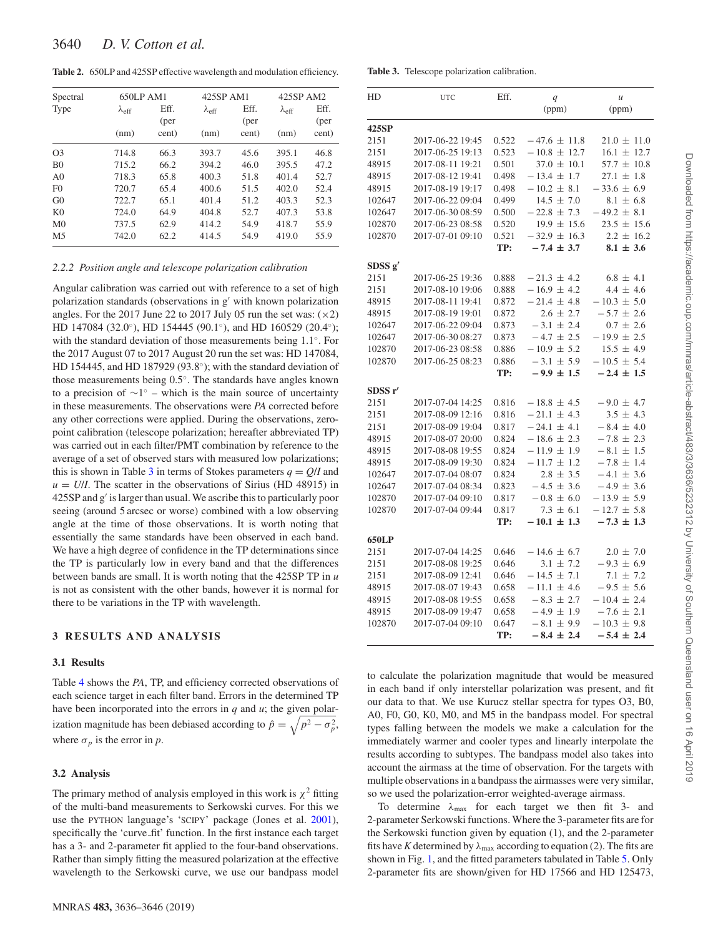<span id="page-4-0"></span>**Table 2.** 650LP and 425SP effective wavelength and modulation efficiency.

| Spectral       | 650LP AM1           |       | 425SP AM1           |       | 425SP AM2     |       |  |
|----------------|---------------------|-------|---------------------|-------|---------------|-------|--|
| Type           | $\lambda_{\rm eff}$ | Eff.  | $\lambda_{\rm eff}$ | Eff.  | $\lambda$ eff | Eff.  |  |
|                |                     | (per  |                     | (per  |               | (per  |  |
|                | (nm)                | cent) | (nm)                | cent) | (nm)          | cent) |  |
| O <sub>3</sub> | 714.8               | 66.3  | 393.7               | 45.6  | 395.1         | 46.8  |  |
| B <sub>0</sub> | 715.2               | 66.2  | 394.2               | 46.0  | 395.5         | 47.2  |  |
| A <sub>0</sub> | 718.3               | 65.8  | 400.3               | 51.8  | 401.4         | 52.7  |  |
| F()            | 720.7               | 65.4  | 400.6               | 51.5  | 402.0         | 52.4  |  |
| G <sub>0</sub> | 722.7               | 65.1  | 401.4               | 51.2  | 403.3         | 52.3  |  |
| K <sub>0</sub> | 724.0               | 64.9  | 404.8               | 52.7  | 407.3         | 53.8  |  |
| M <sub>0</sub> | 737.5               | 62.9  | 414.2               | 54.9  | 418.7         | 55.9  |  |
| M5             | 742.0               | 62.2  | 414.5               | 54.9  | 419.0         | 55.9  |  |

#### *2.2.2 Position angle and telescope polarization calibration*

Angular calibration was carried out with reference to a set of high polarization standards (observations in  $g'$  with known polarization angles. For the 2017 June 22 to 2017 July 05 run the set was:  $(\times 2)$ HD 147084 (32.0<sup>°</sup>), HD 154445 (90.1<sup>°</sup>), and HD 160529 (20.4<sup>°</sup>); with the standard deviation of those measurements being 1.1◦. For the 2017 August 07 to 2017 August 20 run the set was: HD 147084, HD 154445, and HD 187929 (93.8◦); with the standard deviation of those measurements being 0.5◦. The standards have angles known to a precision of  $\sim$ 1<sup>°</sup> – which is the main source of uncertainty in these measurements. The observations were *PA* corrected before any other corrections were applied. During the observations, zeropoint calibration (telescope polarization; hereafter abbreviated TP) was carried out in each filter/PMT combination by reference to the average of a set of observed stars with measured low polarizations; this is shown in Table [3](#page-4-1) in terms of Stokes parameters  $q = Q/I$  and  $u = U/I$ . The scatter in the observations of Sirius (HD 48915) in  $425SP$  and  $g'$  is larger than usual. We ascribe this to particularly poor seeing (around 5 arcsec or worse) combined with a low observing angle at the time of those observations. It is worth noting that essentially the same standards have been observed in each band. We have a high degree of confidence in the TP determinations since the TP is particularly low in every band and that the differences between bands are small. It is worth noting that the 425SP TP in *u* is not as consistent with the other bands, however it is normal for there to be variations in the TP with wavelength.

## **3 RESULTS AND ANALYSIS**

#### **3.1 Results**

Table [4](#page-5-0) shows the *PA*, TP, and efficiency corrected observations of each science target in each filter band. Errors in the determined TP have been incorporated into the errors in *q* and *u*; the given polarization magnitude has been debiased according to  $\hat{p} = \sqrt{p^2 - \sigma_p^2}$ , where  $\sigma_p$  is the error in *p*.

## **3.2 Analysis**

The primary method of analysis employed in this work is  $\chi^2$  fitting of the multi-band measurements to Serkowski curves. For this we use the PYTHON language's 'SCIPY' package (Jones et al. [2001\)](#page-10-37), specifically the 'curve fit' function. In the first instance each target has a 3- and 2-parameter fit applied to the four-band observations. Rather than simply fitting the measured polarization at the effective wavelength to the Serkowski curve, we use our bandpass model

#### <span id="page-4-1"></span>**Table 3.** Telescope polarization calibration.

| HD                  | <b>UTC</b>       | Eff.  | q                | $\boldsymbol{\mathcal{U}}$ |  |  |
|---------------------|------------------|-------|------------------|----------------------------|--|--|
|                     |                  |       | (ppm)            | (ppm)                      |  |  |
| 425SP               |                  |       |                  |                            |  |  |
| 2151                | 2017-06-22 19:45 | 0.522 | $-47.6 \pm 11.8$ | $21.0 \pm 11.0$            |  |  |
| 2151                | 2017-06-25 19:13 | 0.523 | $-10.8 \pm 12.7$ | $16.1 \pm 12.7$            |  |  |
| 48915               | 2017-08-11 19:21 | 0.501 | $37.0 \pm 10.1$  | $57.7 \pm 10.8$            |  |  |
| 48915               | 2017-08-12 19:41 | 0.498 | $-13.4 \pm 1.7$  | $27.1 \pm 1.8$             |  |  |
| 48915               | 2017-08-19 19:17 | 0.498 | $-10.2 \pm 8.1$  | $-33.6 \pm 6.9$            |  |  |
| 102647              | 2017-06-22 09:04 | 0.499 | $14.5 \pm 7.0$   | $8.1 \pm 6.8$              |  |  |
| 102647              | 2017-06-30 08:59 | 0.500 | $-22.8 \pm 7.3$  | $-49.2 \pm 8.1$            |  |  |
| 102870              | 2017-06-23 08:58 | 0.520 | $19.9 \pm 15.6$  | $23.5 \pm 15.6$            |  |  |
| 102870              | 2017-07-01 09:10 | 0.521 | $-32.9 \pm 16.3$ | $2.2 \pm 16.2$             |  |  |
|                     |                  | TP:   | $-7.4 \pm 3.7$   | $8.1 \pm 3.6$              |  |  |
| SDSS g'             |                  |       |                  |                            |  |  |
| 2151                | 2017-06-25 19:36 | 0.888 | $-21.3 \pm 4.2$  | $6.8 \pm 4.1$              |  |  |
| 2151                | 2017-08-10 19:06 | 0.888 | $-16.9 \pm 4.2$  | $4.4 \pm 4.6$              |  |  |
| 48915               | 2017-08-11 19:41 | 0.872 | $-21.4 \pm 4.8$  | $-10.3 \pm 5.0$            |  |  |
| 48915               | 2017-08-19 19:01 | 0.872 | $2.6 \pm 2.7$    | $-5.7 \pm 2.6$             |  |  |
| 102647              | 2017-06-22 09:04 | 0.873 | $-3.1 \pm 2.4$   | $0.7 \pm 2.6$              |  |  |
| 102647              | 2017-06-30 08:27 | 0.873 | $-4.7 \pm 2.5$   | $-19.9 \pm 2.5$            |  |  |
| 102870              | 2017-06-23 08:58 | 0.886 | $-10.9 \pm 5.2$  | $15.5 \pm 4.9$             |  |  |
| 102870              | 2017-06-25 08:23 | 0.886 | $-3.1 \pm 5.9$   | $-10.5 \pm 5.4$            |  |  |
|                     |                  | TP:   | $-9.9 \pm 1.5$   | $-2.4 \pm 1.5$             |  |  |
| SDSS <sub>r</sub> ' |                  |       |                  |                            |  |  |
| 2151                | 2017-07-04 14:25 | 0.816 | $-18.8 \pm 4.5$  | $-9.0 \pm 4.7$             |  |  |
| 2151                | 2017-08-09 12:16 | 0.816 | $-21.1 \pm 4.3$  | $3.5 \pm 4.3$              |  |  |
| 2151                | 2017-08-09 19:04 | 0.817 | $-24.1 \pm 4.1$  | $-8.4 \pm 4.0$             |  |  |
| 48915               | 2017-08-07 20:00 | 0.824 | $-18.6 \pm 2.3$  | $-7.8 \pm 2.3$             |  |  |
| 48915               | 2017-08-08 19:55 | 0.824 | $-11.9 \pm 1.9$  | $-8.1 \pm 1.5$             |  |  |
| 48915               | 2017-08-09 19:30 | 0.824 | $-11.7 \pm 1.2$  | $-7.8 \pm 1.4$             |  |  |
| 102647              | 2017-07-04 08:07 | 0.824 | $2.8 \pm 3.5$    | $-4.1 \pm 3.6$             |  |  |
| 102647              | 2017-07-04 08:34 | 0.823 | $-4.5 \pm 3.6$   | $-4.9 \pm 3.6$             |  |  |
| 102870              | 2017-07-04 09:10 | 0.817 | $-0.8 \pm 6.0$   | $-13.9 \pm 5.9$            |  |  |
| 102870              | 2017-07-04 09:44 | 0.817 | $7.3 \pm 6.1$    | $-12.7 \pm 5.8$            |  |  |
|                     |                  | TP:   | $-10.1 \pm 1.3$  | $-7.3 \pm 1.3$             |  |  |
| 650LP               |                  |       |                  |                            |  |  |
| 2151                | 2017-07-04 14:25 | 0.646 | $-14.6 \pm 6.7$  | $2.0 \pm 7.0$              |  |  |
| 2151                | 2017-08-08 19:25 | 0.646 | $3.1 \pm 7.2$    | $-9.3 \pm 6.9$             |  |  |
| 2151                | 2017-08-09 12:41 | 0.646 | $-14.5 \pm 7.1$  | $7.1 \pm 7.2$              |  |  |
| 48915               | 2017-08-07 19:43 | 0.658 | $-11.1 \pm 4.6$  | $-9.5 \pm 5.6$             |  |  |
| 48915               | 2017-08-08 19:55 | 0.658 | $-8.3 \pm 2.7$   | $-10.4 \pm 2.4$            |  |  |
| 48915               | 2017-08-09 19:47 | 0.658 | $-4.9 \pm 1.9$   | $-7.6 \pm 2.1$             |  |  |
| 102870              | 2017-07-04 09:10 | 0.647 | $-8.1 \pm 9.9$   | $-10.3 \pm 9.8$            |  |  |
|                     |                  | TP:   | $-8.4 \pm 2.4$   | $-5.4 \pm 2.4$             |  |  |

to calculate the polarization magnitude that would be measured in each band if only interstellar polarization was present, and fit our data to that. We use Kurucz stellar spectra for types O3, B0, A0, F0, G0, K0, M0, and M5 in the bandpass model. For spectral types falling between the models we make a calculation for the immediately warmer and cooler types and linearly interpolate the results according to subtypes. The bandpass model also takes into account the airmass at the time of observation. For the targets with multiple observations in a bandpass the airmasses were very similar, so we used the polarization-error weighted-average airmass.

To determine *λ*max for each target we then fit 3- and 2-parameter Serkowski functions. Where the 3-parameter fits are for the Serkowski function given by equation (1), and the 2-parameter fits have *K* determined by  $\lambda_{\text{max}}$  according to equation (2). The fits are shown in Fig. [1,](#page-6-0) and the fitted parameters tabulated in Table [5.](#page-6-1) Only 2-parameter fits are shown/given for HD 17566 and HD 125473,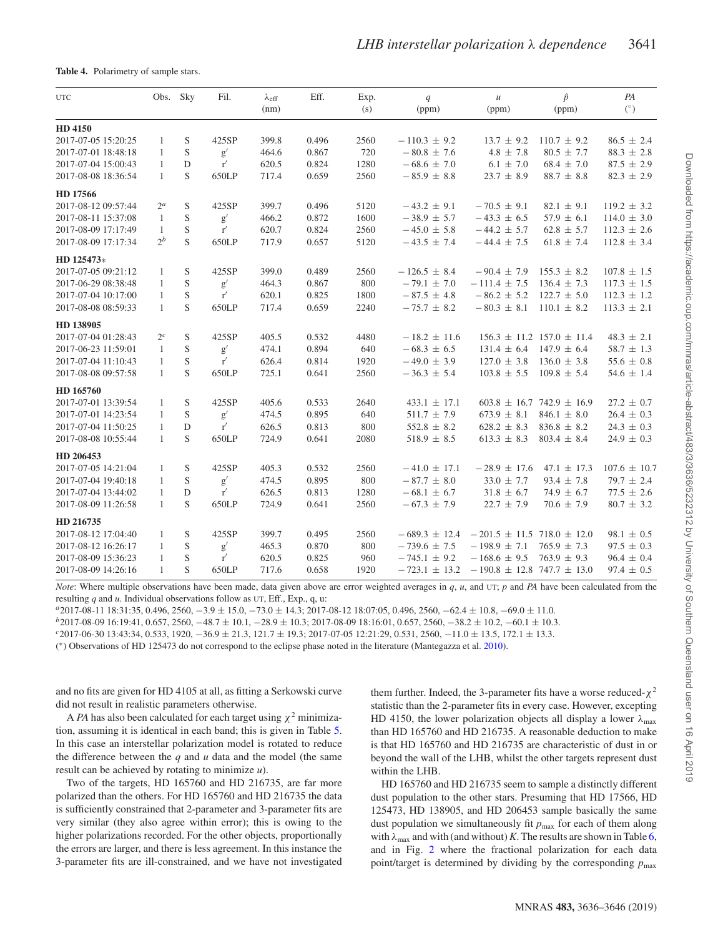<span id="page-5-0"></span>**Table 4.** Polarimetry of sample stars.

| <b>UTC</b>          | Obs. Sky     |   | Fil.                | $\lambda_{\rm eff}$<br>(nm) | Eff.  | Exp.<br>(s) | q<br>(ppm)        | $\mathcal{U}$<br>(ppm)             | $\hat{p}$<br>(ppm)                | PA<br>$(^\circ)$ |
|---------------------|--------------|---|---------------------|-----------------------------|-------|-------------|-------------------|------------------------------------|-----------------------------------|------------------|
| HD 4150             |              |   |                     |                             |       |             |                   |                                    |                                   |                  |
| 2017-07-05 15:20:25 | $\mathbf{1}$ | S | 425SP               | 399.8                       | 0.496 | 2560        | $-110.3 \pm 9.2$  | $13.7 \pm 9.2$                     | $110.7 \pm 9.2$                   | $86.5 \pm 2.4$   |
| 2017-07-01 18:48:18 | 1            | S | g'                  | 464.6                       | 0.867 | 720         | $-80.8 \pm 7.6$   | $4.8 \pm 7.8$                      | $80.5 \pm 7.7$                    | $88.3 \pm 2.8$   |
| 2017-07-04 15:00:43 | $\mathbf{1}$ | D | r'                  | 620.5                       | 0.824 | 1280        | $-68.6 \pm 7.0$   | $6.1 \pm 7.0$                      | $68.4 \pm 7.0$                    | $87.5 \pm 2.9$   |
| 2017-08-08 18:36:54 | $\mathbf{1}$ | S | 650LP               | 717.4                       | 0.659 | 2560        | $-85.9 \pm 8.8$   | $23.7 \pm 8.9$                     | $88.7 \pm 8.8$                    | $82.3 \pm 2.9$   |
| HD 17566            |              |   |                     |                             |       |             |                   |                                    |                                   |                  |
| 2017-08-12 09:57:44 | $2^a$        | S | 425SP               | 399.7                       | 0.496 | 5120        | $-43.2 \pm 9.1$   | $-70.5 \pm 9.1$                    | $82.1 \pm 9.1$                    | $119.2 \pm 3.2$  |
| 2017-08-11 15:37:08 | 1            | S | $\mathrm{g}^\prime$ | 466.2                       | 0.872 | 1600        | $-38.9 \pm 5.7$   | $-43.3 \pm 6.5$                    | $57.9 \pm 6.1$                    | $114.0 \pm 3.0$  |
| 2017-08-09 17:17:49 | 1            | S | $\mathbf{r}'$       | 620.7                       | 0.824 | 2560        | $-45.0 \pm 5.8$   | $-44.2 \pm 5.7$                    | $62.8 \pm 5.7$                    | $112.3 \pm 2.6$  |
| 2017-08-09 17:17:34 | $2^b$        | S | 650LP               | 717.9                       | 0.657 | 5120        | $-43.5 \pm 7.4$   | $-44.4 \pm 7.5$                    | $61.8 \pm 7.4$                    | $112.8 \pm 3.4$  |
| HD 125473*          |              |   |                     |                             |       |             |                   |                                    |                                   |                  |
| 2017-07-05 09:21:12 | $\mathbf{1}$ | S | 425SP               | 399.0                       | 0.489 | 2560        | $-126.5 \pm 8.4$  | $-90.4 \pm 7.9$                    | $155.3 \pm 8.2$                   | $107.8 \pm 1.5$  |
| 2017-06-29 08:38:48 | $\mathbf{1}$ | S | $\mathbf{g}'$       | 464.3                       | 0.867 | 800         | $-79.1 \pm 7.0$   | $-111.4 \pm 7.5$                   | $136.4 \pm 7.3$                   | $117.3 \pm 1.5$  |
| 2017-07-04 10:17:00 | $\mathbf{1}$ | S | r'                  | 620.1                       | 0.825 | 1800        | $-87.5 \pm 4.8$   | $-86.2 \pm 5.2$                    | $122.7 \pm 5.0$                   | $112.3 \pm 1.2$  |
| 2017-08-08 08:59:33 | $\mathbf{1}$ | S | 650LP               | 717.4                       | 0.659 | 2240        | $-75.7 \pm 8.2$   | $-80.3 \pm 8.1$                    | $110.1 \pm 8.2$                   | $113.3 \pm 2.1$  |
| HD 138905           |              |   |                     |                             |       |             |                   |                                    |                                   |                  |
| 2017-07-04 01:28:43 | $2^c$        | S | 425SP               | 405.5                       | 0.532 | 4480        | $-18.2 \pm 11.6$  |                                    | $156.3 \pm 11.2$ $157.0 \pm 11.4$ | $48.3 \pm 2.1$   |
| 2017-06-23 11:59:01 | $\mathbf{1}$ | S | $\mathbf{g}'$       | 474.1                       | 0.894 | 640         | $-68.3 \pm 6.5$   | $131.4 \pm 6.4$                    | $147.9 \pm 6.4$                   | $58.7 \pm 1.3$   |
| 2017-07-04 11:10:43 | $\mathbf{1}$ | S | r'                  | 626.4                       | 0.814 | 1920        | $-49.0 \pm 3.9$   | $127.0 \pm 3.8$                    | $136.0 \pm 3.8$                   | 55.6 $\pm$ 0.8   |
| 2017-08-08 09:57:58 | $\mathbf{1}$ | S | 650LP               | 725.1                       | 0.641 | 2560        | $-36.3 \pm 5.4$   | $103.8 \pm 5.5$                    | $109.8 \pm 5.4$                   | $54.6 \pm 1.4$   |
| HD 165760           |              |   |                     |                             |       |             |                   |                                    |                                   |                  |
| 2017-07-01 13:39:54 | 1            | S | 425SP               | 405.6                       | 0.533 | 2640        | $433.1 \pm 17.1$  |                                    | $603.8 \pm 16.7$ 742.9 $\pm$ 16.9 | $27.2 \pm 0.7$   |
| 2017-07-01 14:23:54 | $\mathbf{1}$ | S | $\mathbf{g}'$       | 474.5                       | 0.895 | 640         | $511.7 \pm 7.9$   | $673.9 \pm 8.1$                    | $846.1 \pm 8.0$                   | $26.4 \pm 0.3$   |
| 2017-07-04 11:50:25 | 1            | D | r'                  | 626.5                       | 0.813 | 800         | $552.8 \pm 8.2$   | $628.2 \pm 8.3$                    | $836.8 \pm 8.2$                   | $24.3 \pm 0.3$   |
| 2017-08-08 10:55:44 | $\mathbf{1}$ | S | 650LP               | 724.9                       | 0.641 | 2080        | $518.9 \pm 8.5$   | $613.3 \pm 8.3$                    | $803.4 \pm 8.4$                   | $24.9 \pm 0.3$   |
| HD 206453           |              |   |                     |                             |       |             |                   |                                    |                                   |                  |
| 2017-07-05 14:21:04 | $\mathbf{1}$ | S | 425SP               | 405.3                       | 0.532 | 2560        | $-41.0 \pm 17.1$  | $-28.9 \pm 17.6$                   | $47.1 \pm 17.3$                   | $107.6 \pm 10.7$ |
| 2017-07-04 19:40:18 | $\mathbf{1}$ | S | $\mathbf{g}'$       | 474.5                       | 0.895 | 800         | $-87.7 \pm 8.0$   | 33.0 $\pm$ 7.7                     | $93.4 \pm 7.8$                    | $79.7 \pm 2.4$   |
| 2017-07-04 13:44:02 | 1            | D | r'                  | 626.5                       | 0.813 | 1280        | $-68.1 \pm 6.7$   | $31.8 \pm 6.7$                     | $74.9 \pm 6.7$                    | $77.5 \pm 2.6$   |
| 2017-08-09 11:26:58 | $\mathbf{1}$ | S | 650LP               | 724.9                       | 0.641 | 2560        | $-67.3 \pm 7.9$   | $22.7 \pm 7.9$                     | $70.6 \pm 7.9$                    | $80.7 \pm 3.2$   |
| HD 216735           |              |   |                     |                             |       |             |                   |                                    |                                   |                  |
| 2017-08-12 17:04:40 | $\mathbf{1}$ | S | 425SP               | 399.7                       | 0.495 | 2560        | $-689.3 \pm 12.4$ | $-201.5 \pm 11.5$ 718.0 $\pm$ 12.0 |                                   | $98.1 \pm 0.5$   |
| 2017-08-12 16:26:17 | $\mathbf{1}$ | S | $\mathbf{g}'$       | 465.3                       | 0.870 | 800         | $-739.6 \pm 7.5$  | $-198.9 \pm 7.1$                   | $765.9 \pm 7.3$                   | $97.5 \pm 0.3$   |
| 2017-08-09 15:36:23 | $\mathbf{1}$ | S | r'                  | 620.5                       | 0.825 | 960         | $-745.1 \pm 9.2$  | $-168.6 \pm 9.5$                   | $763.9 \pm 9.3$                   | $96.4 \pm 0.4$   |
| 2017-08-09 14:26:16 | $\mathbf{1}$ | S | 650LP               | 717.6                       | 0.658 | 1920        | $-723.1 \pm 13.2$ | $-190.8 \pm 12.8$ 747.7 $\pm$ 13.0 |                                   | $97.4 \pm 0.5$   |

*Note*: Where multiple observations have been made, data given above are error weighted averages in *q*, *u*, and UT; *p* and *PA* have been calculated from the resulting *q* and *u*. Individual observations follow as UT, Eff., Exp., q, u:

 $^{\mu}$ 2017-08-11 18:31:35, 0.496, 2560, -3.9 ± 15.0, -73.0 ± 14.3; 2017-08-12 18:07:05, 0.496, 2560, -62.4 ± 10.8, -69.0 ± 11.0.<br>  $^{\mu}$ 2017-08-09 16:19:41, 0.657, 2560, -48.7 ± 10.1, -28.9 ± 10.3; 2017-08-09 18:16:01, 0.

( ∗) Observations of HD 125473 do not correspond to the eclipse phase noted in the literature (Mantegazza et al. [2010\)](#page-10-31).

and no fits are given for HD 4105 at all, as fitting a Serkowski curve did not result in realistic parameters otherwise.

A *PA* has also been calculated for each target using *χ*<sup>2</sup> minimization, assuming it is identical in each band; this is given in Table [5.](#page-6-1) In this case an interstellar polarization model is rotated to reduce the difference between the *q* and *u* data and the model (the same result can be achieved by rotating to minimize *u*).

Two of the targets, HD 165760 and HD 216735, are far more polarized than the others. For HD 165760 and HD 216735 the data is sufficiently constrained that 2-parameter and 3-parameter fits are very similar (they also agree within error); this is owing to the higher polarizations recorded. For the other objects, proportionally the errors are larger, and there is less agreement. In this instance the 3-parameter fits are ill-constrained, and we have not investigated

them further. Indeed, the 3-parameter fits have a worse reduced-*χ*<sup>2</sup> statistic than the 2-parameter fits in every case. However, excepting HD 4150, the lower polarization objects all display a lower *λ*max than HD 165760 and HD 216735. A reasonable deduction to make is that HD 165760 and HD 216735 are characteristic of dust in or beyond the wall of the LHB, whilst the other targets represent dust within the LHB.

HD 165760 and HD 216735 seem to sample a distinctly different dust population to the other stars. Presuming that HD 17566, HD 125473, HD 138905, and HD 206453 sample basically the same dust population we simultaneously fit  $p_{\text{max}}$  for each of them along with  $\lambda_{\text{max}}$  and with (and without) *K*. The results are shown in Table [6,](#page-7-0) and in Fig. [2](#page-7-1) where the fractional polarization for each data point/target is determined by dividing by the corresponding  $p_{\text{max}}$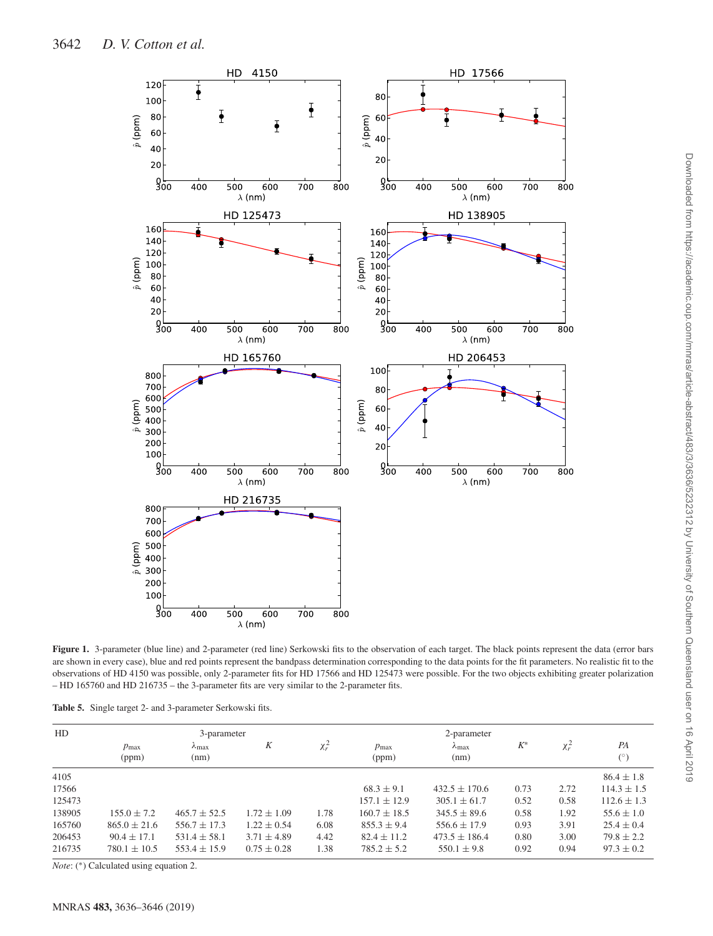<span id="page-6-0"></span>

Figure 1. 3-parameter (blue line) and 2-parameter (red line) Serkowski fits to the observation of each target. The black points represent the data (error bars are shown in every case), blue and red points represent the bandpass determination corresponding to the data points for the fit parameters. No realistic fit to the observations of HD 4150 was possible, only 2-parameter fits for HD 17566 and HD 125473 were possible. For the two objects exhibiting greater polarization – HD 165760 and HD 216735 – the 3-parameter fits are very similar to the 2-parameter fits.

<span id="page-6-1"></span>

| HD     |                           | 3-parameter                    |                 |            |                           |                       |       |            |                  |
|--------|---------------------------|--------------------------------|-----------------|------------|---------------------------|-----------------------|-------|------------|------------------|
|        | $p_{\text{max}}$<br>(ppm) | $\lambda_{\text{max}}$<br>(nm) | Κ               | $\chi_r^2$ | $p_{\text{max}}$<br>(ppm) | $\lambda$ max<br>(nm) | $K^*$ | $\chi_r^2$ | PA<br>$(^\circ)$ |
| 4105   |                           |                                |                 |            |                           |                       |       |            | $86.4 \pm 1.8$   |
| 17566  |                           |                                |                 |            | $68.3 \pm 9.1$            | $432.5 \pm 170.6$     | 0.73  | 2.72       | $114.3 \pm 1.5$  |
| 125473 |                           |                                |                 |            | $157.1 \pm 12.9$          | $305.1 \pm 61.7$      | 0.52  | 0.58       | $112.6 \pm 1.3$  |
| 138905 | $155.0 \pm 7.2$           | $465.7 + 52.5$                 | $1.72 \pm 1.09$ | 1.78       | $160.7 \pm 18.5$          | $345.5 + 89.6$        | 0.58  | 1.92       | $55.6 \pm 1.0$   |
| 165760 | $865.0 \pm 21.6$          | $556.7 \pm 17.3$               | $1.22 \pm 0.54$ | 6.08       | $855.3 \pm 9.4$           | $556.6 \pm 17.9$      | 0.93  | 3.91       | $25.4 \pm 0.4$   |
| 206453 | $90.4 \pm 17.1$           | $531.4 \pm 58.1$               | $3.71 \pm 4.89$ | 4.42       | $82.4 \pm 11.2$           | $473.5 \pm 186.4$     | 0.80  | 3.00       | $79.8 + 2.2$     |
| 216735 | $780.1 \pm 10.5$          | $553.4 \pm 15.9$               | $0.75 \pm 0.28$ | 1.38       | $785.2 \pm 5.2$           | $550.1 \pm 9.8$       | 0.92  | 0.94       | $97.3 \pm 0.2$   |

*Note*: (∗) Calculated using equation 2.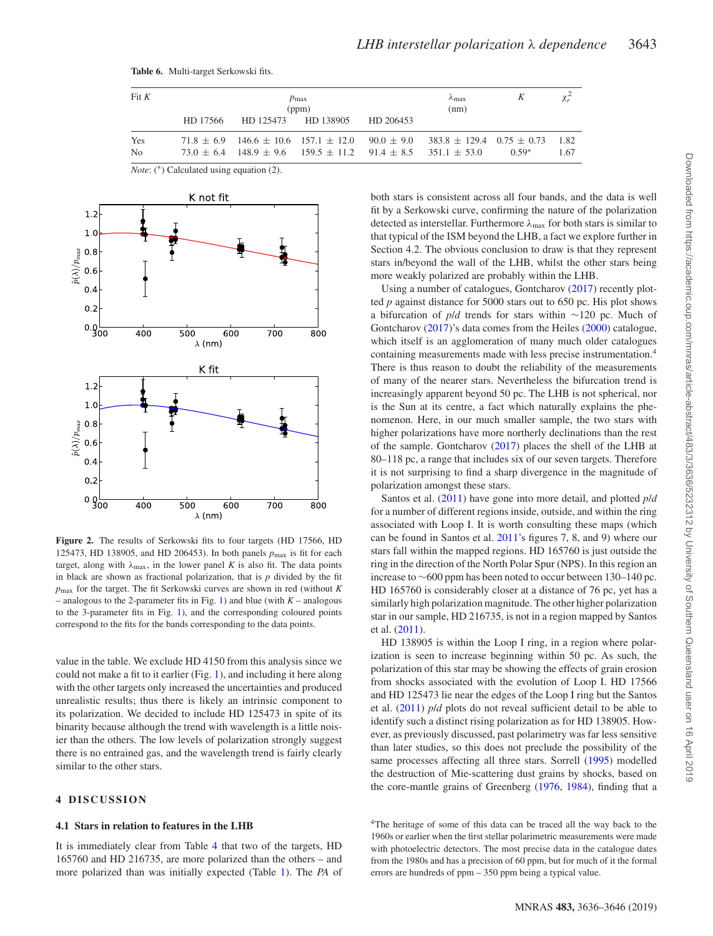| Fit K |          |           | $p_{\text{max}}$<br>(ppm)                                                       |           | $\lambda$ max<br>(nm)                                                                             |         |      |
|-------|----------|-----------|---------------------------------------------------------------------------------|-----------|---------------------------------------------------------------------------------------------------|---------|------|
|       | HD 17566 | HD 125473 | HD 138905                                                                       | HD 206453 |                                                                                                   |         |      |
| Yes   |          |           |                                                                                 |           | $71.8 \pm 6.9$ $146.6 \pm 10.6$ $157.1 \pm 12.0$ $90.0 \pm 9.0$ $383.8 \pm 129.4$ $0.75 \pm 0.73$ |         | 1.82 |
| No    |          |           | $73.0 \pm 6.4$ 148.9 $\pm$ 9.6 159.5 $\pm$ 11.2 91.4 $\pm$ 8.5 351.1 $\pm$ 53.0 |           |                                                                                                   | $0.59*$ | 1.67 |

<span id="page-7-0"></span>

*Note*: (\*) Calculated using equation (2).

<span id="page-7-1"></span>

**Figure 2.** The results of Serkowski fits to four targets (HD 17566, HD 125473, HD 138905, and HD 206453). In both panels *p*max is fit for each target, along with  $\lambda_{\text{max}}$ , in the lower panel *K* is also fit. The data points in black are shown as fractional polarization, that is *p* divided by the fit *p*max for the target. The fit Serkowski curves are shown in red (without *K* – analogous to the 2-parameter fits in Fig. [1\)](#page-6-0) and blue (with *K* – analogous to the 3-parameter fits in Fig. [1\)](#page-6-0), and the corresponding coloured points correspond to the fits for the bands corresponding to the data points.

value in the table. We exclude HD 4150 from this analysis since we could not make a fit to it earlier (Fig. [1\)](#page-6-0), and including it here along with the other targets only increased the uncertainties and produced unrealistic results; thus there is likely an intrinsic component to its polarization. We decided to include HD 125473 in spite of its binarity because although the trend with wavelength is a little noisier than the others. The low levels of polarization strongly suggest there is no entrained gas, and the wavelength trend is fairly clearly similar to the other stars.

## **4 DISCUSSION**

## **4.1 Stars in relation to features in the LHB**

It is immediately clear from Table [4](#page-5-0) that two of the targets, HD 165760 and HD 216735, are more polarized than the others – and more polarized than was initially expected (Table [1\)](#page-3-0). The *PA* of both stars is consistent across all four bands, and the data is well fit by a Serkowski curve, confirming the nature of the polarization detected as interstellar. Furthermore  $\lambda_{\text{max}}$  for both stars is similar to that typical of the ISM beyond the LHB, a fact we explore further in Section 4.2. The obvious conclusion to draw is that they represent stars in/beyond the wall of the LHB, whilst the other stars being more weakly polarized are probably within the LHB.

Using a number of catalogues, Gontcharov [\(2017\)](#page-10-38) recently plotted *p* against distance for 5000 stars out to 650 pc. His plot shows a bifurcation of *p*/*d* trends for stars within ∼120 pc. Much of Gontcharov [\(2017\)](#page-10-38)'s data comes from the Heiles [\(2000\)](#page-10-39) catalogue, which itself is an agglomeration of many much older catalogues containing measurements made with less precise instrumentation.<sup>4</sup> There is thus reason to doubt the reliability of the measurements of many of the nearer stars. Nevertheless the bifurcation trend is increasingly apparent beyond 50 pc. The LHB is not spherical, nor is the Sun at its centre, a fact which naturally explains the phenomenon. Here, in our much smaller sample, the two stars with higher polarizations have more northerly declinations than the rest of the sample. Gontcharov [\(2017\)](#page-10-38) places the shell of the LHB at 80–118 pc, a range that includes six of our seven targets. Therefore it is not surprising to find a sharp divergence in the magnitude of polarization amongst these stars.

Santos et al. [\(2011\)](#page-10-18) have gone into more detail, and plotted *p*/*d* for a number of different regions inside, outside, and within the ring associated with Loop I. It is worth consulting these maps (which can be found in Santos et al. [2011'](#page-10-18)s figures 7, 8, and 9) where our stars fall within the mapped regions. HD 165760 is just outside the ring in the direction of the North Polar Spur (NPS). In this region an increase to ∼600 ppm has been noted to occur between 130–140 pc. HD 165760 is considerably closer at a distance of 76 pc, yet has a similarly high polarization magnitude. The other higher polarization star in our sample, HD 216735, is not in a region mapped by Santos et al. [\(2011\)](#page-10-18).

HD 138905 is within the Loop I ring, in a region where polarization is seen to increase beginning within 50 pc. As such, the polarization of this star may be showing the effects of grain erosion from shocks associated with the evolution of Loop I. HD 17566 and HD 125473 lie near the edges of the Loop I ring but the Santos et al. [\(2011\)](#page-10-18) *p*/*d* plots do not reveal sufficient detail to be able to identify such a distinct rising polarization as for HD 138905. However, as previously discussed, past polarimetry was far less sensitive than later studies, so this does not preclude the possibility of the same processes affecting all three stars. Sorrell [\(1995\)](#page-10-40) modelled the destruction of Mie-scattering dust grains by shocks, based on the core-mantle grains of Greenberg [\(1976,](#page-10-41) [1984\)](#page-10-42), finding that a

<sup>4</sup>The heritage of some of this data can be traced all the way back to the 1960s or earlier when the first stellar polarimetric measurements were made with photoelectric detectors. The most precise data in the catalogue dates from the 1980s and has a precision of 60 ppm, but for much of it the formal errors are hundreds of ppm – 350 ppm being a typical value.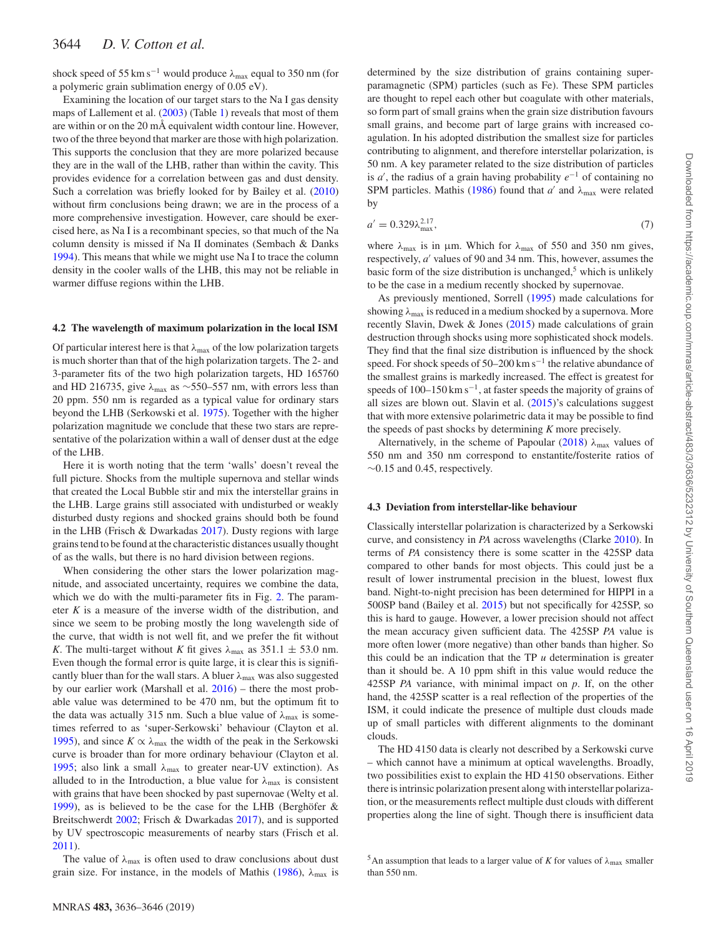shock speed of 55 km s<sup>-1</sup> would produce  $\lambda_{\text{max}}$  equal to 350 nm (for a polymeric grain sublimation energy of 0.05 eV).

Examining the location of our target stars to the Na I gas density maps of Lallement et al. [\(2003\)](#page-10-23) (Table [1\)](#page-3-0) reveals that most of them are within or on the 20 mÅ equivalent width contour line. However, two of the three beyond that marker are those with high polarization. This supports the conclusion that they are more polarized because they are in the wall of the LHB, rather than within the cavity. This provides evidence for a correlation between gas and dust density. Such a correlation was briefly looked for by Bailey et al. [\(2010\)](#page-9-2) without firm conclusions being drawn; we are in the process of a more comprehensive investigation. However, care should be exercised here, as Na I is a recombinant species, so that much of the Na column density is missed if Na II dominates (Sembach & Danks [1994\)](#page-10-43). This means that while we might use Na I to trace the column density in the cooler walls of the LHB, this may not be reliable in warmer diffuse regions within the LHB.

#### **4.2 The wavelength of maximum polarization in the local ISM**

Of particular interest here is that  $\lambda_{\text{max}}$  of the low polarization targets is much shorter than that of the high polarization targets. The 2- and 3-parameter fits of the two high polarization targets, HD 165760 and HD 216735, give *λ*max as ∼550–557 nm, with errors less than 20 ppm. 550 nm is regarded as a typical value for ordinary stars beyond the LHB (Serkowski et al. [1975\)](#page-10-3). Together with the higher polarization magnitude we conclude that these two stars are representative of the polarization within a wall of denser dust at the edge of the LHB.

Here it is worth noting that the term 'walls' doesn't reveal the full picture. Shocks from the multiple supernova and stellar winds that created the Local Bubble stir and mix the interstellar grains in the LHB. Large grains still associated with undisturbed or weakly disturbed dusty regions and shocked grains should both be found in the LHB (Frisch & Dwarkadas [2017\)](#page-10-13). Dusty regions with large grains tend to be found at the characteristic distances usually thought of as the walls, but there is no hard division between regions.

When considering the other stars the lower polarization magnitude, and associated uncertainty, requires we combine the data, which we do with the multi-parameter fits in Fig. [2.](#page-7-1) The parameter *K* is a measure of the inverse width of the distribution, and since we seem to be probing mostly the long wavelength side of the curve, that width is not well fit, and we prefer the fit without *K*. The multi-target without *K* fit gives  $\lambda_{\text{max}}$  as 351.1  $\pm$  53.0 nm. Even though the formal error is quite large, it is clear this is significantly bluer than for the wall stars. A bluer *λ*max was also suggested by our earlier work (Marshall et al. [2016\)](#page-10-12) – there the most probable value was determined to be 470 nm, but the optimum fit to the data was actually 315 nm. Such a blue value of  $\lambda_{\text{max}}$  is sometimes referred to as 'super-Serkowski' behaviour (Clayton et al. [1995\)](#page-9-16), and since  $K \propto \lambda_{\text{max}}$  the width of the peak in the Serkowski curve is broader than for more ordinary behaviour (Clayton et al. [1995;](#page-9-16) also link a small *λ*max to greater near-UV extinction). As alluded to in the Introduction, a blue value for  $\lambda_{\text{max}}$  is consistent with grains that have been shocked by past supernovae (Welty et al. [1999\)](#page-10-20), as is believed to be the case for the LHB (Berghöfer  $\&$ Breitschwerdt [2002;](#page-9-6) Frisch & Dwarkadas [2017\)](#page-10-13), and is supported by UV spectroscopic measurements of nearby stars (Frisch et al. [2011\)](#page-10-17).

The value of  $\lambda_{\text{max}}$  is often used to draw conclusions about dust grain size. For instance, in the models of Mathis [\(1986\)](#page-10-44),  $\lambda_{\text{max}}$  is

determined by the size distribution of grains containing superparamagnetic (SPM) particles (such as Fe). These SPM particles are thought to repel each other but coagulate with other materials, so form part of small grains when the grain size distribution favours small grains, and become part of large grains with increased coagulation. In his adopted distribution the smallest size for particles contributing to alignment, and therefore interstellar polarization, is 50 nm. A key parameter related to the size distribution of particles is *a* , the radius of a grain having probability *e*−<sup>1</sup> of containing no SPM particles. Mathis [\(1986\)](#page-10-44) found that *a'* and  $\lambda_{\text{max}}$  were related by

$$
a' = 0.329\lambda_{\text{max}}^{2.17},\tag{7}
$$

where *λ*max is in μm. Which for *λ*max of 550 and 350 nm gives, respectively, *a'* values of 90 and 34 nm. This, however, assumes the basic form of the size distribution is unchanged, $5$  which is unlikely to be the case in a medium recently shocked by supernovae.

As previously mentioned, Sorrell [\(1995\)](#page-10-40) made calculations for showing *λ*max is reduced in a medium shocked by a supernova. More recently Slavin, Dwek & Jones [\(2015\)](#page-10-45) made calculations of grain destruction through shocks using more sophisticated shock models. They find that the final size distribution is influenced by the shock speed. For shock speeds of  $50-200$  km s<sup> $-1$ </sup> the relative abundance of the smallest grains is markedly increased. The effect is greatest for speeds of 100–150 km s<sup>-1</sup>, at faster speeds the majority of grains of all sizes are blown out. Slavin et al. [\(2015\)](#page-10-45)'s calculations suggest that with more extensive polarimetric data it may be possible to find the speeds of past shocks by determining *K* more precisely.

Alternatively, in the scheme of Papoular [\(2018\)](#page-10-8)  $\lambda_{\text{max}}$  values of 550 nm and 350 nm correspond to enstantite/fosterite ratios of  $\sim$ 0.15 and 0.45, respectively.

#### **4.3 Deviation from interstellar-like behaviour**

Classically interstellar polarization is characterized by a Serkowski curve, and consistency in *PA* across wavelengths (Clarke [2010\)](#page-9-0). In terms of *PA* consistency there is some scatter in the 425SP data compared to other bands for most objects. This could just be a result of lower instrumental precision in the bluest, lowest flux band. Night-to-night precision has been determined for HIPPI in a 500SP band (Bailey et al. [2015\)](#page-9-14) but not specifically for 425SP, so this is hard to gauge. However, a lower precision should not affect the mean accuracy given sufficient data. The 425SP *PA* value is more often lower (more negative) than other bands than higher. So this could be an indication that the TP *u* determination is greater than it should be. A 10 ppm shift in this value would reduce the 425SP *PA* variance, with minimal impact on *p*. If, on the other hand, the 425SP scatter is a real reflection of the properties of the ISM, it could indicate the presence of multiple dust clouds made up of small particles with different alignments to the dominant clouds.

The HD 4150 data is clearly not described by a Serkowski curve – which cannot have a minimum at optical wavelengths. Broadly, two possibilities exist to explain the HD 4150 observations. Either there is intrinsic polarization present along with interstellar polarization, or the measurements reflect multiple dust clouds with different properties along the line of sight. Though there is insufficient data

<sup>&</sup>lt;sup>5</sup>An assumption that leads to a larger value of *K* for values of  $\lambda_{\text{max}}$  smaller than 550 nm.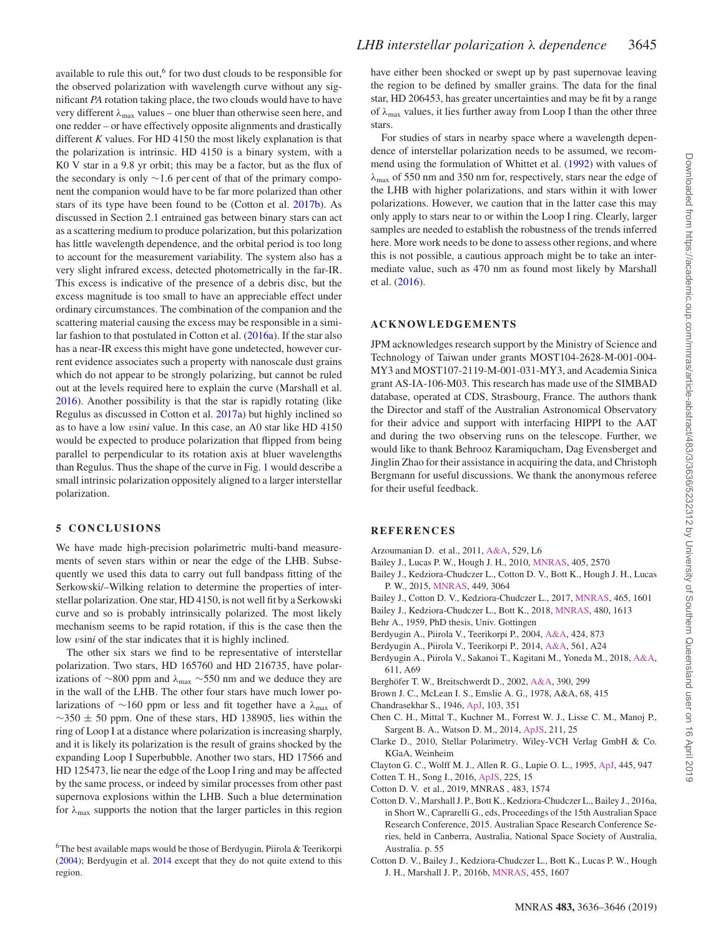available to rule this out, $6$  for two dust clouds to be responsible for the observed polarization with wavelength curve without any significant *PA* rotation taking place, the two clouds would have to have very different *λ*max values – one bluer than otherwise seen here, and one redder – or have effectively opposite alignments and drastically different *K* values. For HD 4150 the most likely explanation is that the polarization is intrinsic. HD 4150 is a binary system, with a K0 V star in a 9.8 yr orbit; this may be a factor, but as the flux of the secondary is only ∼1.6 per cent of that of the primary component the companion would have to be far more polarized than other stars of its type have been found to be (Cotton et al. [2017b\)](#page-10-11). As discussed in Section 2.1 entrained gas between binary stars can act as a scattering medium to produce polarization, but this polarization has little wavelength dependence, and the orbital period is too long to account for the measurement variability. The system also has a very slight infrared excess, detected photometrically in the far-IR. This excess is indicative of the presence of a debris disc, but the excess magnitude is too small to have an appreciable effect under ordinary circumstances. The combination of the companion and the scattering material causing the excess may be responsible in a similar fashion to that postulated in Cotton et al. [\(2016a\)](#page-9-17). If the star also has a near-IR excess this might have gone undetected, however current evidence associates such a property with nanoscale dust grains which do not appear to be strongly polarizing, but cannot be ruled out at the levels required here to explain the curve (Marshall et al. [2016\)](#page-10-12). Another possibility is that the star is rapidly rotating (like Regulus as discussed in Cotton et al. [2017a\)](#page-10-22) but highly inclined so as to have a low *v*sin*i* value. In this case, an A0 star like HD 4150 would be expected to produce polarization that flipped from being parallel to perpendicular to its rotation axis at bluer wavelengths than Regulus. Thus the shape of the curve in Fig. [1](#page-6-0) would describe a small intrinsic polarization oppositely aligned to a larger interstellar polarization.

# **5 CONCLUSIONS**

We have made high-precision polarimetric multi-band measurements of seven stars within or near the edge of the LHB. Subsequently we used this data to carry out full bandpass fitting of the Serkowski/–Wilking relation to determine the properties of interstellar polarization. One star, HD 4150, is not well fit by a Serkowski curve and so is probably intrinsically polarized. The most likely mechanism seems to be rapid rotation, if this is the case then the low *v*sin*i* of the star indicates that it is highly inclined.

The other six stars we find to be representative of interstellar polarization. Two stars, HD 165760 and HD 216735, have polarizations of ∼800 ppm and *λ*max ∼550 nm and we deduce they are in the wall of the LHB. The other four stars have much lower polarizations of ∼160 ppm or less and fit together have a *λ*max of  $\sim$ 350 ± 50 ppm. One of these stars, HD 138905, lies within the ring of Loop I at a distance where polarization is increasing sharply, and it is likely its polarization is the result of grains shocked by the expanding Loop I Superbubble. Another two stars, HD 17566 and HD 125473, lie near the edge of the Loop I ring and may be affected by the same process, or indeed by similar processes from other past supernova explosions within the LHB. Such a blue determination for  $\lambda_{\text{max}}$  supports the notion that the larger particles in this region

<sup>6</sup>The best available maps would be those of Berdyugin, Piirola & Teerikorpi [\(2004\)](#page-9-18); Berdyugin et al. [2014](#page-9-4) except that they do not quite extend to this region.

have either been shocked or swept up by past supernovae leaving the region to be defined by smaller grains. The data for the final star, HD 206453, has greater uncertainties and may be fit by a range of *λ*max values, it lies further away from Loop I than the other three stars.

For studies of stars in nearby space where a wavelength dependence of interstellar polarization needs to be assumed, we recommend using the formulation of Whittet et al. [\(1992\)](#page-10-5) with values of *λ*max of 550 nm and 350 nm for, respectively, stars near the edge of the LHB with higher polarizations, and stars within it with lower polarizations. However, we caution that in the latter case this may only apply to stars near to or within the Loop I ring. Clearly, larger samples are needed to establish the robustness of the trends inferred here. More work needs to be done to assess other regions, and where this is not possible, a cautious approach might be to take an intermediate value, such as 470 nm as found most likely by Marshall et al. [\(2016\)](#page-10-12).

## **ACKNOWLEDGEMENTS**

JPM acknowledges research support by the Ministry of Science and Technology of Taiwan under grants MOST104-2628-M-001-004- MY3 and MOST107-2119-M-001-031-MY3, and Academia Sinica grant AS-IA-106-M03. This research has made use of the SIMBAD database, operated at CDS, Strasbourg, France. The authors thank the Director and staff of the Australian Astronomical Observatory for their advice and support with interfacing HIPPI to the AAT and during the two observing runs on the telescope. Further, we would like to thank Behrooz Karamiqucham, Dag Evensberget and Jinglin Zhao for their assistance in acquiring the data, and Christoph Bergmann for useful discussions. We thank the anonymous referee for their useful feedback.

#### **REFERENCES**

- <span id="page-9-5"></span>Arzoumanian D. et al., 2011, [A&A,](http://dx.doi.org/10.1051/0004-6361/201116596) 529, L6
- <span id="page-9-2"></span>Bailey J., Lucas P. W., Hough J. H., 2010, [MNRAS,](http://dx.doi.org/10.1111/j.1365-2966.2010.16634.x) 405, 2570 Bailey J., Kedziora-Chudczer L., Cotton D. V., Bott K., Hough J. H., Lucas
- <span id="page-9-14"></span>P. W., 2015, [MNRAS,](http://dx.doi.org/10.1093/mnras/stv519) 449, 3064
- <span id="page-9-11"></span>Bailey J., Cotton D. V., Kedziora-Chudczer L., 2017, [MNRAS,](http://dx.doi.org/10.1093/mnras/stw2886) 465, 1601
- <span id="page-9-8"></span>Bailey J., Kedziora-Chudczer L., Bott K., 2018, [MNRAS,](http://dx.doi.org/10.1093/mnras/sty1892) 480, 1613
- <span id="page-9-1"></span>Behr A., 1959, PhD thesis, Univ. Gottingen
- <span id="page-9-18"></span>Berdyugin A., Piirola V., Teerikorpi P., 2004, [A&A,](http://dx.doi.org/10.1051/0004-6361:20040308) 424, 873
- <span id="page-9-4"></span>Berdyugin A., Piirola V., Teerikorpi P., 2014, [A&A,](http://dx.doi.org/10.1051/0004-6361/201322604) 561, A24
- <span id="page-9-13"></span>Berdyugin A., Piirola V., Sakanoi T., Kagitani M., Yoneda M., 2018, [A&A,](http://dx.doi.org/10.1051/0004-6361/201732163) 611, A69
- <span id="page-9-6"></span>Berghöfer T. W., Breitschwerdt D., 2002, [A&A,](http://dx.doi.org/10.1051/0004-6361:20020627) 390, 299
- <span id="page-9-12"></span>Brown J. C., McLean I. S., Emslie A. G., 1978, A&A, 68, 415
- <span id="page-9-15"></span>Chandrasekhar S., 1946, [ApJ,](http://dx.doi.org/10.1086/144816) 103, 351
- <span id="page-9-9"></span>Chen C. H., Mittal T., Kuchner M., Forrest W. J., Lisse C. M., Manoj P., Sargent B. A., Watson D. M., 2014, [ApJS,](http://dx.doi.org/10.1088/0067-0049/211/2/25) 211, 25
- <span id="page-9-0"></span>Clarke D., 2010, Stellar Polarimetry. Wiley-VCH Verlag GmbH & Co. KGaA, Weinheim

<span id="page-9-16"></span>Clayton G. C., Wolff M. J., Allen R. G., Lupie O. L., 1995, [ApJ,](http://dx.doi.org/10.1086/175754) 445, 947 Cotten T. H., Song I., 2016, [ApJS,](http://dx.doi.org/10.3847/0067-0049/225/1/15) 225, 15

- <span id="page-9-10"></span><span id="page-9-7"></span>Cotton D. V. et al., 2019, MNRAS , 483, 1574
- <span id="page-9-17"></span>Cotton D. V., Marshall J. P., Bott K., Kedziora-Chudczer L., Bailey J., 2016a, in Short W., Caprarelli G., eds, Proceedings of the 15th Australian Space Research Conference, 2015. Australian Space Research Conference Series, held in Canberra, Australia, National Space Society of Australia, Australia. p. 55
- <span id="page-9-3"></span>Cotton D. V., Bailey J., Kedziora-Chudczer L., Bott K., Lucas P. W., Hough J. H., Marshall J. P., 2016b, [MNRAS,](http://dx.doi.org/10.1093/mnras/stv2185) 455, 1607